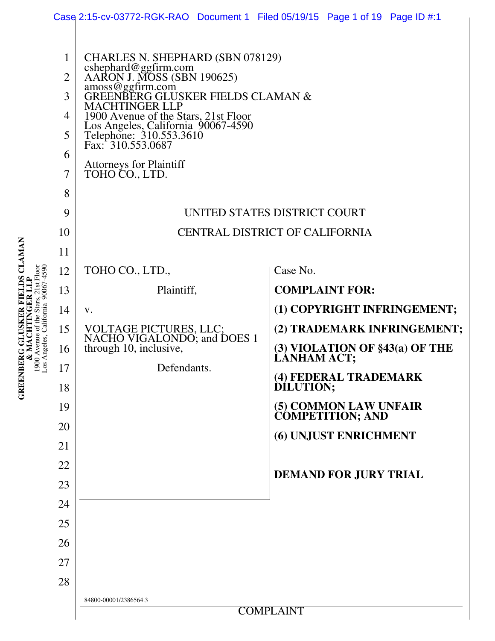|                                          |                                                          |                                                                                                                                                                                                                                                                                                                                                            | Case 2:15-cv-03772-RGK-RAO Document 1 Filed 05/19/15 Page 1 of 19 Page ID #:1                                                                                                                                                                                           |
|------------------------------------------|----------------------------------------------------------|------------------------------------------------------------------------------------------------------------------------------------------------------------------------------------------------------------------------------------------------------------------------------------------------------------------------------------------------------------|-------------------------------------------------------------------------------------------------------------------------------------------------------------------------------------------------------------------------------------------------------------------------|
| Angeles, California 90067-4590<br>Ō<br>L | 1<br>$\overline{2}$<br>3<br>4<br>5<br>6<br>7<br>8<br>9   | CHARLES N. SHEPHARD (SBN 078129)<br>cshephard@ggfirm.com<br>AARON J. MOSS (SBN 190625)<br>amoss@ggfirm.com<br>GREENBERG GLUSKER FIELDS CLAMAN &<br><b>MACHTINGER LLP</b><br>1900 Avenue of the Stars, 21st Floor<br>Los Angeles, California 90067-4590<br>Telephone: 310.553.3610<br>Fax: 310.553.0687<br><b>Attorneys for Plaintiff</b><br>TOHO CO., LTD. | UNITED STATES DISTRICT COURT                                                                                                                                                                                                                                            |
|                                          | 10<br>11                                                 |                                                                                                                                                                                                                                                                                                                                                            | <b>CENTRAL DISTRICT OF CALIFORNIA</b>                                                                                                                                                                                                                                   |
|                                          | 12<br>13<br>14<br>15<br>16<br>17<br>18<br>19<br>20<br>21 | TOHO CO., LTD.,<br>Plaintiff,<br>V.<br>VOLTAGE PICTURES, LLC;<br>NACHO VIGALONDO; and DOES 1<br>through 10, inclusive,<br>Defendants.                                                                                                                                                                                                                      | Case No.<br><b>COMPLAINT FOR:</b><br>(1) COPYRIGHT INFRINGEMENT;<br>(2) TRADEMARK INFRINGEMENT;<br>$(3)$ VIOLATION OF $$43(a)$ OF THE<br><b>LANHAM ACT;</b><br>(4) FEDERAL TRADEMARK<br>DÍLUTION;<br>(5) COMMON LAW UNFAIR<br>COMPETITION; AND<br>(6) UNJUST ENRICHMENT |
|                                          | 22<br>23<br>24<br>25<br>26<br>27<br>28                   |                                                                                                                                                                                                                                                                                                                                                            | <b>DEMAND FOR JURY TRIAL</b>                                                                                                                                                                                                                                            |
|                                          |                                                          | 84800-00001/2386564.3                                                                                                                                                                                                                                                                                                                                      | <b>COMPLAINT</b>                                                                                                                                                                                                                                                        |

**GREENBERG GLUSKER FIELDS CLAMAN**<br>& MACHTINGER LLP<br>1900 Avenue of the Stars, 21st Floor **GREENBERG GLUSKER FIELDS CLAMAN**  1900 Avenue of the Stars, 21st Floor **& MACHTINGER LLP**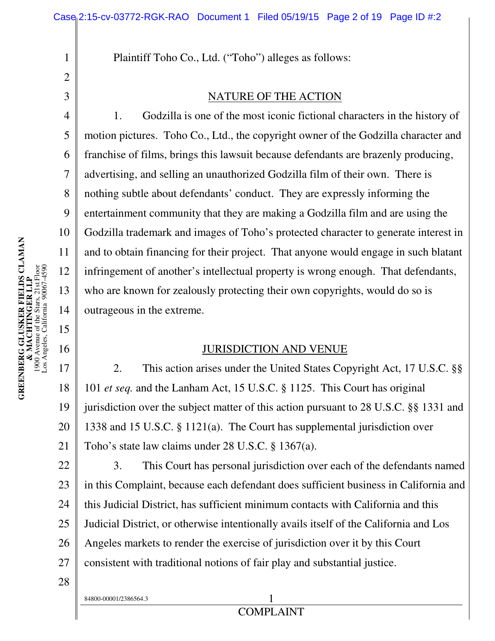Plaintiff Toho Co., Ltd. ("Toho") alleges as follows:

#### NATURE OF THE ACTION

1. Godzilla is one of the most iconic fictional characters in the history of motion pictures. Toho Co., Ltd., the copyright owner of the Godzilla character and franchise of films, brings this lawsuit because defendants are brazenly producing, advertising, and selling an unauthorized Godzilla film of their own. There is nothing subtle about defendants' conduct. They are expressly informing the entertainment community that they are making a Godzilla film and are using the Godzilla trademark and images of Toho's protected character to generate interest in and to obtain financing for their project. That anyone would engage in such blatant infringement of another's intellectual property is wrong enough. That defendants, who are known for zealously protecting their own copyrights, would do so is outrageous in the extreme.

#### JURISDICTION AND VENUE

17 18 19 20 21 2. This action arises under the United States Copyright Act, 17 U.S.C. §§ 101 *et seq.* and the Lanham Act, 15 U.S.C. § 1125. This Court has original jurisdiction over the subject matter of this action pursuant to 28 U.S.C. §§ 1331 and 1338 and 15 U.S.C. § 1121(a). The Court has supplemental jurisdiction over Toho's state law claims under 28 U.S.C. § 1367(a).

22 23 24 25 26 27 3. This Court has personal jurisdiction over each of the defendants named in this Complaint, because each defendant does sufficient business in California and this Judicial District, has sufficient minimum contacts with California and this Judicial District, or otherwise intentionally avails itself of the California and Los Angeles markets to render the exercise of jurisdiction over it by this Court consistent with traditional notions of fair play and substantial justice.

28

84800-00001/2386564.3 1

Los Angeles, California 90067-4590

1

2

3

4

5

6

7

8

9

10

11

12

13

14

15

16

# COMPLAINT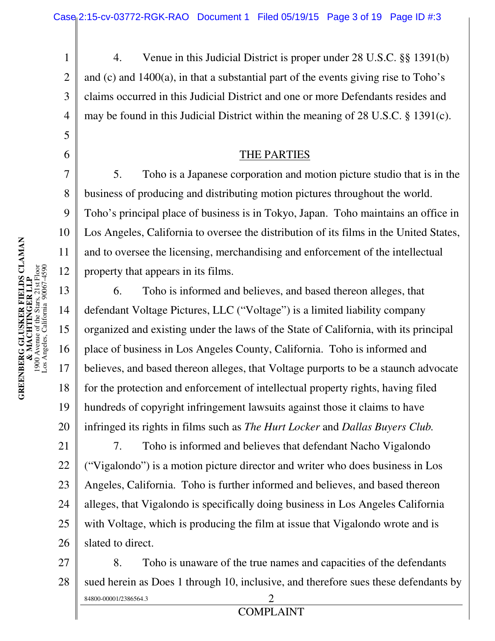4. Venue in this Judicial District is proper under 28 U.S.C. §§ 1391(b) and (c) and 1400(a), in that a substantial part of the events giving rise to Toho's claims occurred in this Judicial District and one or more Defendants resides and may be found in this Judicial District within the meaning of 28 U.S.C. § 1391(c).

#### THE PARTIES

5. Toho is a Japanese corporation and motion picture studio that is in the business of producing and distributing motion pictures throughout the world. Toho's principal place of business is in Tokyo, Japan. Toho maintains an office in Los Angeles, California to oversee the distribution of its films in the United States, and to oversee the licensing, merchandising and enforcement of the intellectual property that appears in its films.

6. Toho is informed and believes, and based thereon alleges, that defendant Voltage Pictures, LLC ("Voltage") is a limited liability company organized and existing under the laws of the State of California, with its principal place of business in Los Angeles County, California. Toho is informed and believes, and based thereon alleges, that Voltage purports to be a staunch advocate for the protection and enforcement of intellectual property rights, having filed hundreds of copyright infringement lawsuits against those it claims to have infringed its rights in films such as *The Hurt Locker* and *Dallas Buyers Club.*

21 22 23 24 25 26 7. Toho is informed and believes that defendant Nacho Vigalondo ("Vigalondo") is a motion picture director and writer who does business in Los Angeles, California. Toho is further informed and believes, and based thereon alleges, that Vigalondo is specifically doing business in Los Angeles California with Voltage, which is producing the film at issue that Vigalondo wrote and is slated to direct.

27 28 84800-00001/2386564.3 2 COMPLAINT 8. Toho is unaware of the true names and capacities of the defendants sued herein as Does 1 through 10, inclusive, and therefore sues these defendants by

1

2

3

4

5

6

7

8

9

10

11

12

13

14

15

16

17

18

19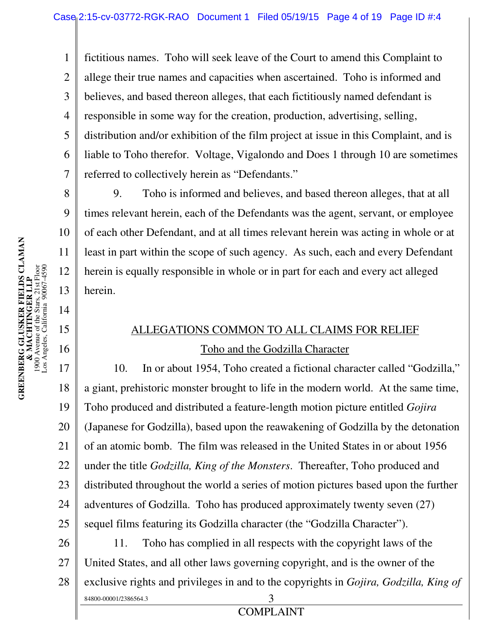1 2 3 4 5 6 7 fictitious names. Toho will seek leave of the Court to amend this Complaint to allege their true names and capacities when ascertained. Toho is informed and believes, and based thereon alleges, that each fictitiously named defendant is responsible in some way for the creation, production, advertising, selling, distribution and/or exhibition of the film project at issue in this Complaint, and is liable to Toho therefor. Voltage, Vigalondo and Does 1 through 10 are sometimes referred to collectively herein as "Defendants."

9. Toho is informed and believes, and based thereon alleges, that at all times relevant herein, each of the Defendants was the agent, servant, or employee of each other Defendant, and at all times relevant herein was acting in whole or at least in part within the scope of such agency. As such, each and every Defendant herein is equally responsible in whole or in part for each and every act alleged herein.

# ALLEGATIONS COMMON TO ALL CLAIMS FOR RELIEF Toho and the Godzilla Character

17 18 19 20 21 22 23 24 25 10. In or about 1954, Toho created a fictional character called "Godzilla," a giant, prehistoric monster brought to life in the modern world. At the same time, Toho produced and distributed a feature-length motion picture entitled *Gojira* (Japanese for Godzilla), based upon the reawakening of Godzilla by the detonation of an atomic bomb. The film was released in the United States in or about 1956 under the title *Godzilla, King of the Monsters*. Thereafter, Toho produced and distributed throughout the world a series of motion pictures based upon the further adventures of Godzilla. Toho has produced approximately twenty seven (27) sequel films featuring its Godzilla character (the "Godzilla Character").

26 27 28 84800-00001/2386564.3 3 11. Toho has complied in all respects with the copyright laws of the United States, and all other laws governing copyright, and is the owner of the exclusive rights and privileges in and to the copyrights in *Gojira, Godzilla, King of* 

8

9

10

11

12

13

14

15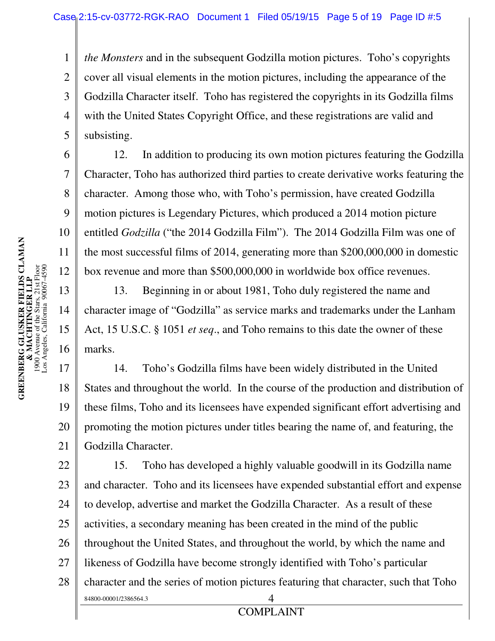1 2 3 4 5 *the Monsters* and in the subsequent Godzilla motion pictures. Toho's copyrights cover all visual elements in the motion pictures, including the appearance of the Godzilla Character itself. Toho has registered the copyrights in its Godzilla films with the United States Copyright Office, and these registrations are valid and subsisting.

12. In addition to producing its own motion pictures featuring the Godzilla Character, Toho has authorized third parties to create derivative works featuring the character. Among those who, with Toho's permission, have created Godzilla motion pictures is Legendary Pictures, which produced a 2014 motion picture entitled *Godzilla* ("the 2014 Godzilla Film"). The 2014 Godzilla Film was one of the most successful films of 2014, generating more than \$200,000,000 in domestic box revenue and more than \$500,000,000 in worldwide box office revenues.

13. Beginning in or about 1981, Toho duly registered the name and character image of "Godzilla" as service marks and trademarks under the Lanham Act, 15 U.S.C. § 1051 *et seq*., and Toho remains to this date the owner of these marks.

19 20 14. Toho's Godzilla films have been widely distributed in the United States and throughout the world. In the course of the production and distribution of these films, Toho and its licensees have expended significant effort advertising and promoting the motion pictures under titles bearing the name of, and featuring, the Godzilla Character.

22 23 24 25 26 27 28 84800-00001/2386564.3 4 **COMPLAINT** 15. Toho has developed a highly valuable goodwill in its Godzilla name and character. Toho and its licensees have expended substantial effort and expense to develop, advertise and market the Godzilla Character. As a result of these activities, a secondary meaning has been created in the mind of the public throughout the United States, and throughout the world, by which the name and likeness of Godzilla have become strongly identified with Toho's particular character and the series of motion pictures featuring that character, such that Toho

6

7

8

9

10

11

12

13

14

15

16

17

18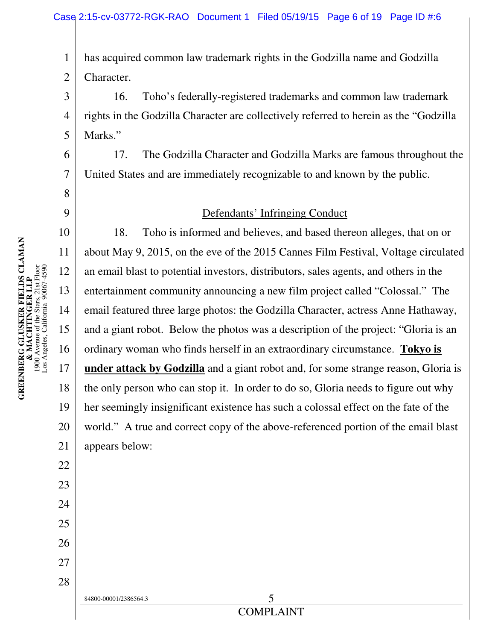1 2 has acquired common law trademark rights in the Godzilla name and Godzilla Character.

3 4 5 16. Toho's federally-registered trademarks and common law trademark rights in the Godzilla Character are collectively referred to herein as the "Godzilla Marks."

17. The Godzilla Character and Godzilla Marks are famous throughout the United States and are immediately recognizable to and known by the public.

#### Defendants' Infringing Conduct

10 18. Toho is informed and believes, and based thereon alleges, that on or about May 9, 2015, on the eve of the 2015 Cannes Film Festival, Voltage circulated an email blast to potential investors, distributors, sales agents, and others in the entertainment community announcing a new film project called "Colossal." The email featured three large photos: the Godzilla Character, actress Anne Hathaway, and a giant robot. Below the photos was a description of the project: "Gloria is an ordinary woman who finds herself in an extraordinary circumstance. **Tokyo is under attack by Godzilla** and a giant robot and, for some strange reason, Gloria is the only person who can stop it. In order to do so, Gloria needs to figure out why her seemingly insignificant existence has such a colossal effect on the fate of the world." A true and correct copy of the above-referenced portion of the email blast appears below:

6

7

8

9

11

12

13

14

15

16

17

18

19

20

21

22

23

24

25

26

27

28

84800-00001/2386564.3 5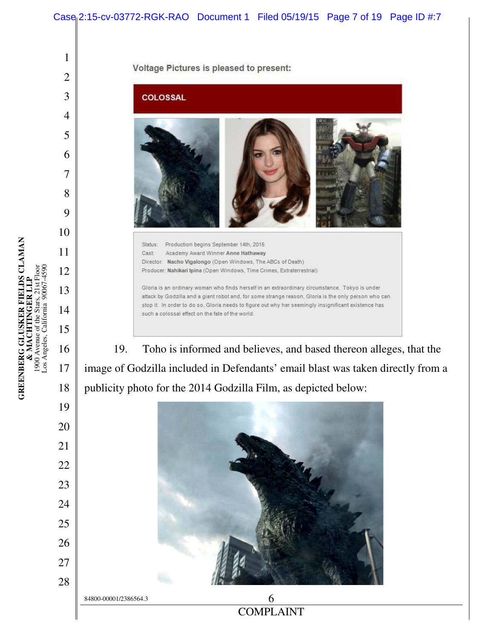**GREENBERG GLUSKER FIELDS CLAMAN**<br>**& MACHTINGER LLP**<br>1900 Avenue of the Stars, 21st Floor<br>Los Angeles, California 90067-4590 Los Angeles, California 90067-4590 

**GREENBERG GLUSKER FIELDS CLAMAN & MACHTINGER LLP** 1900 Avenue of the Stars, 21st Floor





**COMPLAINT**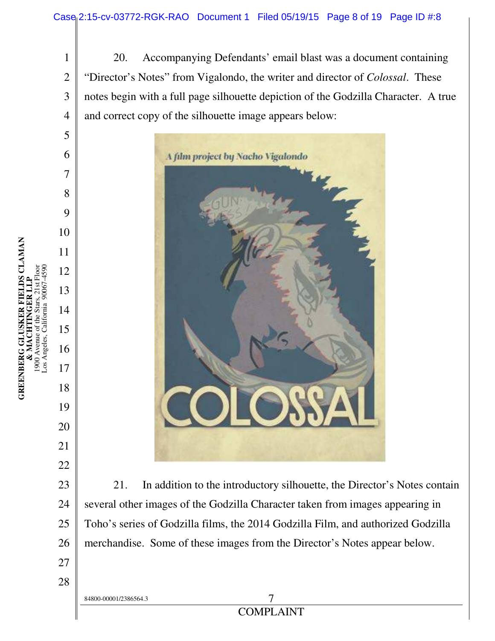1 2 3 4 20. Accompanying Defendants' email blast was a document containing "Director's Notes" from Vigalondo, the writer and director of *Colossal*. These notes begin with a full page silhouette depiction of the Godzilla Character. A true and correct copy of the silhouette image appears below:



21. In addition to the introductory silhouette, the Director's Notes contain several other images of the Godzilla Character taken from images appearing in Toho's series of Godzilla films, the 2014 Godzilla Film, and authorized Godzilla merchandise. Some of these images from the Director's Notes appear below.

COMPLAINT

GREENBERG GLUSKER FIELDS CLAMAN<br>& MACHTINGER LLP **GREENBERG GLUSKER FIELDS CLAMAN**  1900 Avenue of the Stars, 21st Floor Los Angeles, California 90067-4590 **& MACHTINGER LLP** 1900 Avenue of<br>Los Angeles, Cal

the Stars, 21st Floo California 90067-459 5

6

7

8

9

10

11

12

13

14

15

16

17

18

19

20

21

22

23

24

25

26

27

28

84800-00001/2386564.3 7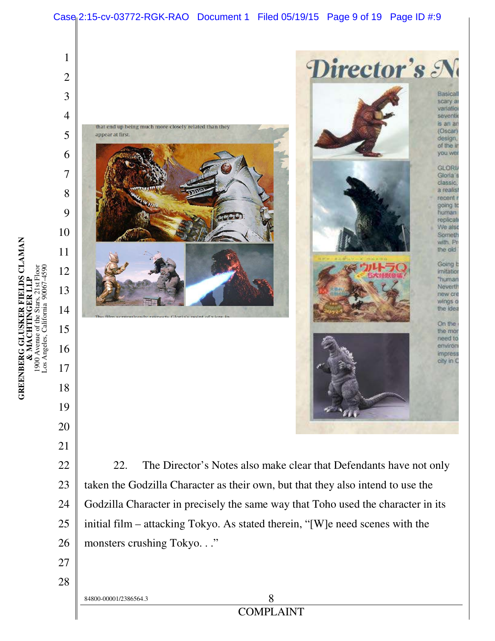

initial film – attacking Tokyo. As stated therein, "[W]e need scenes with the monsters crushing Tokyo. . ."

**GREENBERG GLUSKER FIELDS CLAMAN**<br>**& MACHTINGER LLP**<br>1900 Avenue of the Stars, 21st Floor<br>Los Angeles, California 90067-4590 **GREENBERG GLUSKER FIELDS CLAMAN**  1900 Avenue of the Stars, 21st Floor Los Angeles, California 90067-4590 **& MACHTINGER LLP**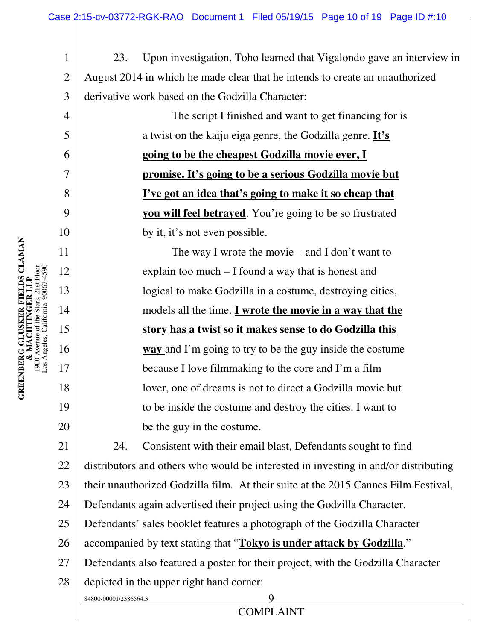1 2 3 23. Upon investigation, Toho learned that Vigalondo gave an interview in August 2014 in which he made clear that he intends to create an unauthorized derivative work based on the Godzilla Character:

> The script I finished and want to get financing for is a twist on the kaiju eiga genre, the Godzilla genre. **It's going to be the cheapest Godzilla movie ever, I promise. It's going to be a serious Godzilla movie but I've got an idea that's going to make it so cheap that you will feel betrayed**. You're going to be so frustrated by it, it's not even possible.

> The way I wrote the movie – and I don't want to explain too much – I found a way that is honest and logical to make Godzilla in a costume, destroying cities, models all the time. **I wrote the movie in a way that the story has a twist so it makes sense to do Godzilla this way** and I'm going to try to be the guy inside the costume because I love filmmaking to the core and I'm a film lover, one of dreams is not to direct a Godzilla movie but to be inside the costume and destroy the cities. I want to be the guy in the costume.

21 22 23 24 24. Consistent with their email blast, Defendants sought to find distributors and others who would be interested in investing in and/or distributing their unauthorized Godzilla film. At their suite at the 2015 Cannes Film Festival, Defendants again advertised their project using the Godzilla Character.

25 Defendants' sales booklet features a photograph of the Godzilla Character

26 accompanied by text stating that "**Tokyo is under attack by Godzilla**."

27 Defendants also featured a poster for their project, with the Godzilla Character

28 depicted in the upper right hand corner:

84800-00001/2386564.3 9

**COMPLAINT** 

4

5

6

7

8

9

10

11

12

13

14

15

16

17

18

19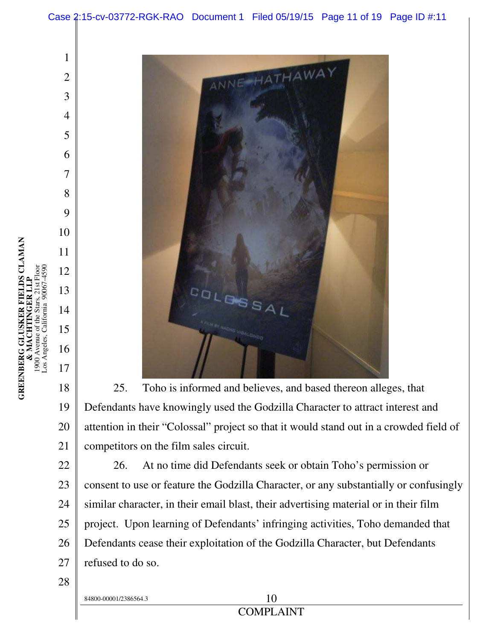

 25. Toho is informed and believes, and based thereon alleges, that Defendants have knowingly used the Godzilla Character to attract interest and attention in their "Colossal" project so that it would stand out in a crowded field of competitors on the film sales circuit.

 26. At no time did Defendants seek or obtain Toho's permission or consent to use or feature the Godzilla Character, or any substantially or confusingly similar character, in their email blast, their advertising material or in their film project. Upon learning of Defendants' infringing activities, Toho demanded that Defendants cease their exploitation of the Godzilla Character, but Defendants refused to do so.

 $84800-00001/2386564.3$  1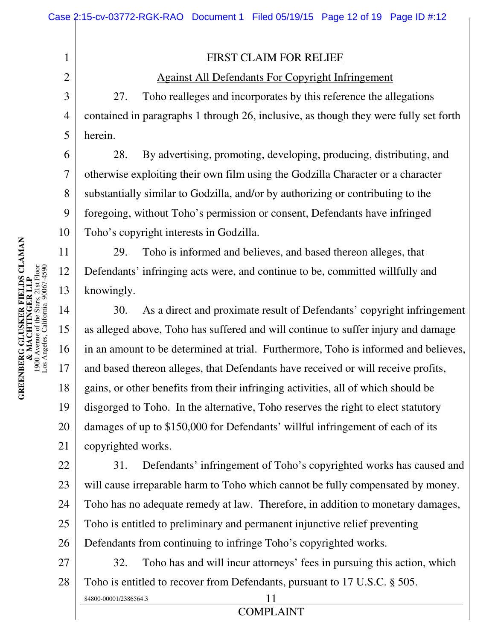## FIRST CLAIM FOR RELIEF

## Against All Defendants For Copyright Infringement

27. Toho realleges and incorporates by this reference the allegations contained in paragraphs 1 through 26, inclusive, as though they were fully set forth herein.

28. By advertising, promoting, developing, producing, distributing, and otherwise exploiting their own film using the Godzilla Character or a character substantially similar to Godzilla, and/or by authorizing or contributing to the foregoing, without Toho's permission or consent, Defendants have infringed Toho's copyright interests in Godzilla.

29. Toho is informed and believes, and based thereon alleges, that Defendants' infringing acts were, and continue to be, committed willfully and knowingly.

14 15 16 17 18 19 20 21 30. As a direct and proximate result of Defendants' copyright infringement as alleged above, Toho has suffered and will continue to suffer injury and damage in an amount to be determined at trial. Furthermore, Toho is informed and believes, and based thereon alleges, that Defendants have received or will receive profits, gains, or other benefits from their infringing activities, all of which should be disgorged to Toho. In the alternative, Toho reserves the right to elect statutory damages of up to \$150,000 for Defendants' willful infringement of each of its copyrighted works.

22 23 24 25 26 31. Defendants' infringement of Toho's copyrighted works has caused and will cause irreparable harm to Toho which cannot be fully compensated by money. Toho has no adequate remedy at law. Therefore, in addition to monetary damages, Toho is entitled to preliminary and permanent injunctive relief preventing Defendants from continuing to infringe Toho's copyrighted works.

27 28 32. Toho has and will incur attorneys' fees in pursuing this action, which Toho is entitled to recover from Defendants, pursuant to 17 U.S.C. § 505.

COMPLAINT

1

2

3

4

5

6

7

8

9

10

11

12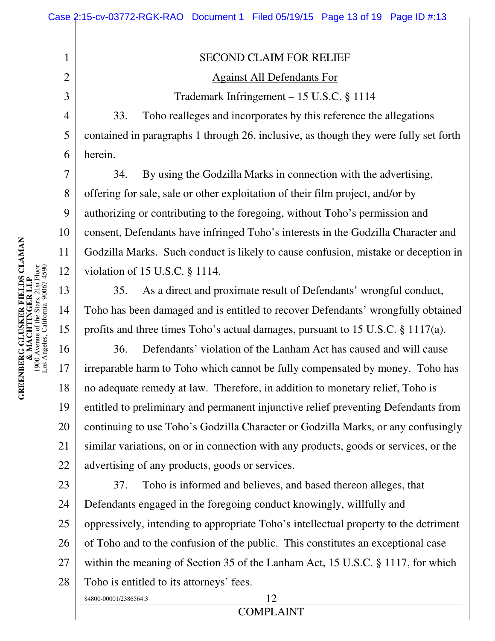3 4 5 6 Trademark Infringement – 15 U.S.C. § 1114 33. Toho realleges and incorporates by this reference the allegations contained in paragraphs 1 through 26, inclusive, as though they were fully set forth herein.

SECOND CLAIM FOR RELIEF

Against All Defendants For

34. By using the Godzilla Marks in connection with the advertising, offering for sale, sale or other exploitation of their film project, and/or by authorizing or contributing to the foregoing, without Toho's permission and consent, Defendants have infringed Toho's interests in the Godzilla Character and Godzilla Marks. Such conduct is likely to cause confusion, mistake or deception in violation of 15 U.S.C. § 1114.

35. As a direct and proximate result of Defendants' wrongful conduct, Toho has been damaged and is entitled to recover Defendants' wrongfully obtained profits and three times Toho's actual damages, pursuant to 15 U.S.C. § 1117(a).

16 18 19 20 21 22 36. Defendants' violation of the Lanham Act has caused and will cause irreparable harm to Toho which cannot be fully compensated by money. Toho has no adequate remedy at law. Therefore, in addition to monetary relief, Toho is entitled to preliminary and permanent injunctive relief preventing Defendants from continuing to use Toho's Godzilla Character or Godzilla Marks, or any confusingly similar variations, on or in connection with any products, goods or services, or the advertising of any products, goods or services.

23 24 25 26 27 28 84800-00001/2386564.3 12 37. Toho is informed and believes, and based thereon alleges, that Defendants engaged in the foregoing conduct knowingly, willfully and oppressively, intending to appropriate Toho's intellectual property to the detriment of Toho and to the confusion of the public. This constitutes an exceptional case within the meaning of Section 35 of the Lanham Act, 15 U.S.C. § 1117, for which Toho is entitled to its attorneys' fees.

1

2

7

8

9

10

11

12

13

14

15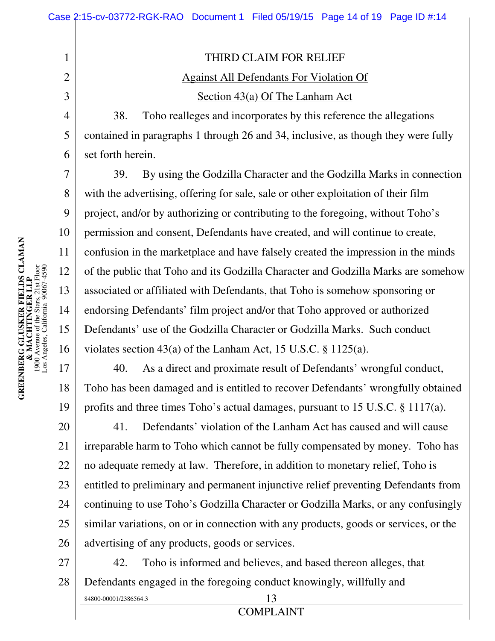THIRD CLAIM FOR RELIEF

# Against All Defendants For Violation Of Section 43(a) Of The Lanham Act

38. Toho realleges and incorporates by this reference the allegations contained in paragraphs 1 through 26 and 34, inclusive, as though they were fully set forth herein.

39. By using the Godzilla Character and the Godzilla Marks in connection with the advertising, offering for sale, sale or other exploitation of their film project, and/or by authorizing or contributing to the foregoing, without Toho's permission and consent, Defendants have created, and will continue to create, confusion in the marketplace and have falsely created the impression in the minds of the public that Toho and its Godzilla Character and Godzilla Marks are somehow associated or affiliated with Defendants, that Toho is somehow sponsoring or endorsing Defendants' film project and/or that Toho approved or authorized Defendants' use of the Godzilla Character or Godzilla Marks. Such conduct violates section 43(a) of the Lanham Act, 15 U.S.C. § 1125(a).

40. As a direct and proximate result of Defendants' wrongful conduct, Toho has been damaged and is entitled to recover Defendants' wrongfully obtained profits and three times Toho's actual damages, pursuant to 15 U.S.C. § 1117(a).

20 21 22 23 24 25 26 41. Defendants' violation of the Lanham Act has caused and will cause irreparable harm to Toho which cannot be fully compensated by money. Toho has no adequate remedy at law. Therefore, in addition to monetary relief, Toho is entitled to preliminary and permanent injunctive relief preventing Defendants from continuing to use Toho's Godzilla Character or Godzilla Marks, or any confusingly similar variations, on or in connection with any products, goods or services, or the advertising of any products, goods or services.

27 28 84800-00001/2386564.3 13 42. Toho is informed and believes, and based thereon alleges, that Defendants engaged in the foregoing conduct knowingly, willfully and

1

2

3

4

5

6

7

8

9

10

11

12

13

14

15

16

17

18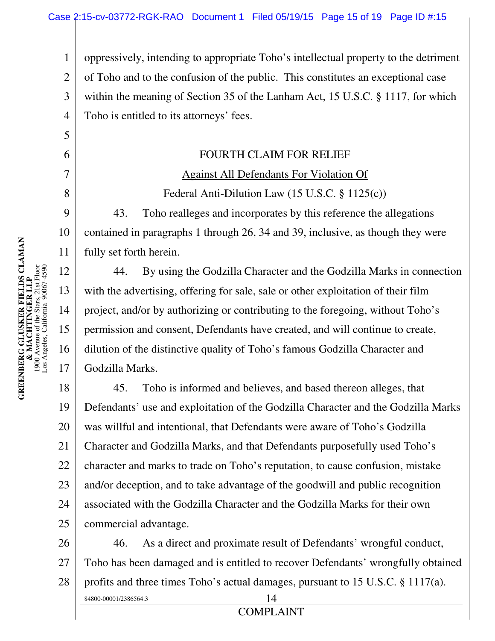1 2 3 4 oppressively, intending to appropriate Toho's intellectual property to the detriment of Toho and to the confusion of the public. This constitutes an exceptional case within the meaning of Section 35 of the Lanham Act, 15 U.S.C. § 1117, for which Toho is entitled to its attorneys' fees.

#### FOURTH CLAIM FOR RELIEF

# Against All Defendants For Violation Of Federal Anti-Dilution Law (15 U.S.C. § 1125(c))

43. Toho realleges and incorporates by this reference the allegations contained in paragraphs 1 through 26, 34 and 39, inclusive, as though they were fully set forth herein.

44. By using the Godzilla Character and the Godzilla Marks in connection with the advertising, offering for sale, sale or other exploitation of their film project, and/or by authorizing or contributing to the foregoing, without Toho's permission and consent, Defendants have created, and will continue to create, dilution of the distinctive quality of Toho's famous Godzilla Character and Godzilla Marks.

18 19 20 21 22 23 24 25 45. Toho is informed and believes, and based thereon alleges, that Defendants' use and exploitation of the Godzilla Character and the Godzilla Marks was willful and intentional, that Defendants were aware of Toho's Godzilla Character and Godzilla Marks, and that Defendants purposefully used Toho's character and marks to trade on Toho's reputation, to cause confusion, mistake and/or deception, and to take advantage of the goodwill and public recognition associated with the Godzilla Character and the Godzilla Marks for their own commercial advantage.

26 27 28 84800-00001/2386564.3 14 46. As a direct and proximate result of Defendants' wrongful conduct, Toho has been damaged and is entitled to recover Defendants' wrongfully obtained profits and three times Toho's actual damages, pursuant to 15 U.S.C. § 1117(a).

5

6

7

8

9

10

11

12

13

14

15

16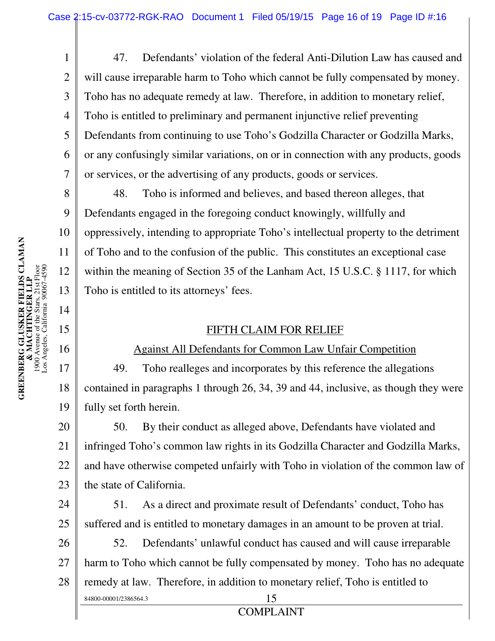47. Defendants' violation of the federal Anti-Dilution Law has caused and will cause irreparable harm to Toho which cannot be fully compensated by money. Toho has no adequate remedy at law. Therefore, in addition to monetary relief, Toho is entitled to preliminary and permanent injunctive relief preventing Defendants from continuing to use Toho's Godzilla Character or Godzilla Marks, or any confusingly similar variations, on or in connection with any products, goods or services, or the advertising of any products, goods or services.

48. Toho is informed and believes, and based thereon alleges, that Defendants engaged in the foregoing conduct knowingly, willfully and oppressively, intending to appropriate Toho's intellectual property to the detriment of Toho and to the confusion of the public. This constitutes an exceptional case within the meaning of Section 35 of the Lanham Act, 15 U.S.C. § 1117, for which Toho is entitled to its attorneys' fees.

#### FIFTH CLAIM FOR RELIEF

## Against All Defendants for Common Law Unfair Competition

17 18 19 49. Toho realleges and incorporates by this reference the allegations contained in paragraphs 1 through 26, 34, 39 and 44, inclusive, as though they were fully set forth herein.

20 21 22 23 50. By their conduct as alleged above, Defendants have violated and infringed Toho's common law rights in its Godzilla Character and Godzilla Marks, and have otherwise competed unfairly with Toho in violation of the common law of the state of California.

24 25 51. As a direct and proximate result of Defendants' conduct, Toho has suffered and is entitled to monetary damages in an amount to be proven at trial.

26 27 28 84800-00001/2386564.3 15 52. Defendants' unlawful conduct has caused and will cause irreparable harm to Toho which cannot be fully compensated by money. Toho has no adequate remedy at law. Therefore, in addition to monetary relief, Toho is entitled to

COMPLAINT

1

2

3

4

5

6

7

8

9

10

11

12

13

14

15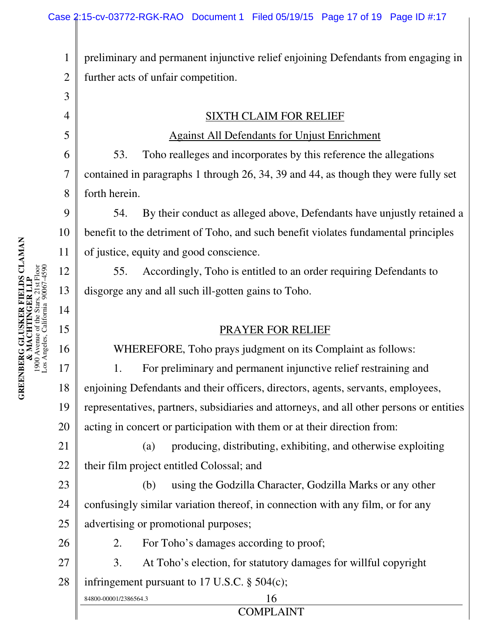1 2 preliminary and permanent injunctive relief enjoining Defendants from engaging in further acts of unfair competition.

SIXTH CLAIM FOR RELIEF

Against All Defendants for Unjust Enrichment

53. Toho realleges and incorporates by this reference the allegations contained in paragraphs 1 through 26, 34, 39 and 44, as though they were fully set forth herein.

9 10 54. By their conduct as alleged above, Defendants have unjustly retained a benefit to the detriment of Toho, and such benefit violates fundamental principles of justice, equity and good conscience.

55. Accordingly, Toho is entitled to an order requiring Defendants to disgorge any and all such ill-gotten gains to Toho.

## PRAYER FOR RELIEF

WHEREFORE, Toho prays judgment on its Complaint as follows:

17 18 19 20 1. For preliminary and permanent injunctive relief restraining and enjoining Defendants and their officers, directors, agents, servants, employees, representatives, partners, subsidiaries and attorneys, and all other persons or entities acting in concert or participation with them or at their direction from:

21 22 (a) producing, distributing, exhibiting, and otherwise exploiting their film project entitled Colossal; and

23 24 25 (b) using the Godzilla Character, Godzilla Marks or any other confusingly similar variation thereof, in connection with any film, or for any advertising or promotional purposes;

2. For Toho's damages according to proof;

27 28 3. At Toho's election, for statutory damages for willful copyright infringement pursuant to 17 U.S.C. § 504(c);

84800-00001/2386564.3 16

3

4

5

6

7

8

11

12

13

14

15

16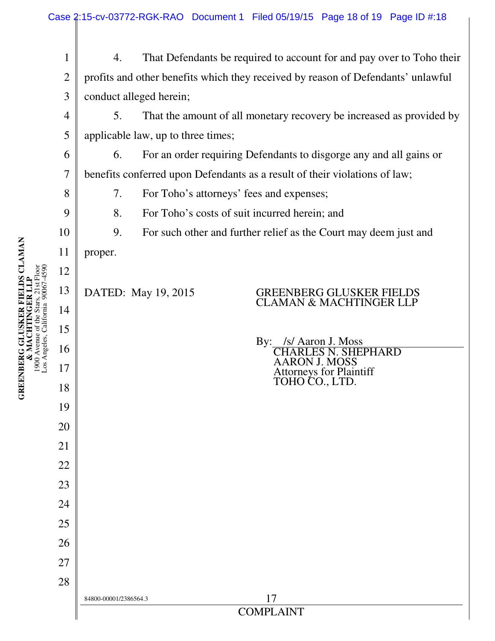| $\mathbf{1}$   | 4.                                                                               |                                                                    | That Defendants be required to account for and pay over to Toho their |  |  |  |
|----------------|----------------------------------------------------------------------------------|--------------------------------------------------------------------|-----------------------------------------------------------------------|--|--|--|
| $\overline{2}$ | profits and other benefits which they received by reason of Defendants' unlawful |                                                                    |                                                                       |  |  |  |
| 3              | conduct alleged herein;                                                          |                                                                    |                                                                       |  |  |  |
| 4              | That the amount of all monetary recovery be increased as provided by<br>5.       |                                                                    |                                                                       |  |  |  |
| 5              | applicable law, up to three times;                                               |                                                                    |                                                                       |  |  |  |
| 6              | 6.                                                                               | For an order requiring Defendants to disgorge any and all gains or |                                                                       |  |  |  |
| 7              | benefits conferred upon Defendants as a result of their violations of law;       |                                                                    |                                                                       |  |  |  |
| 8              | 7.<br>For Toho's attorneys' fees and expenses;                                   |                                                                    |                                                                       |  |  |  |
| 9              | 8.                                                                               | For Toho's costs of suit incurred herein; and                      |                                                                       |  |  |  |
| 10             | 9.                                                                               |                                                                    | For such other and further relief as the Court may deem just and      |  |  |  |
| 11             | proper.                                                                          |                                                                    |                                                                       |  |  |  |
| 12             |                                                                                  |                                                                    |                                                                       |  |  |  |
| 13             |                                                                                  | DATED: May 19, 2015                                                | <b>GREENBERG GLUSKER FIELDS</b><br><b>CLAMAN &amp; MACHTINGER LLP</b> |  |  |  |
| 14             |                                                                                  |                                                                    |                                                                       |  |  |  |
| 15             |                                                                                  |                                                                    | $\mathbf{By:}$<br>/s/ Aaron J. Moss                                   |  |  |  |
| 16             |                                                                                  |                                                                    | HEPHARD<br>AARON J. MOSS                                              |  |  |  |
| 17             |                                                                                  |                                                                    | <b>Attorneys for Plaintiff</b><br>TOHO CO., LTD.                      |  |  |  |
| 18             |                                                                                  |                                                                    |                                                                       |  |  |  |
| 19             |                                                                                  |                                                                    |                                                                       |  |  |  |
| 20             |                                                                                  |                                                                    |                                                                       |  |  |  |
| 21             |                                                                                  |                                                                    |                                                                       |  |  |  |
| 22             |                                                                                  |                                                                    |                                                                       |  |  |  |
| 23             |                                                                                  |                                                                    |                                                                       |  |  |  |
| 24             |                                                                                  |                                                                    |                                                                       |  |  |  |
| 25             |                                                                                  |                                                                    |                                                                       |  |  |  |
| 26             |                                                                                  |                                                                    |                                                                       |  |  |  |
| 27             |                                                                                  |                                                                    |                                                                       |  |  |  |
| 28             | 84800-00001/2386564.3                                                            |                                                                    | 17                                                                    |  |  |  |
|                | <b>COMPLAINT</b>                                                                 |                                                                    |                                                                       |  |  |  |